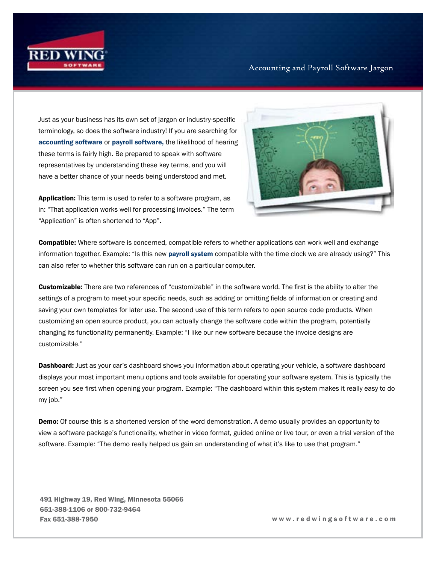

## Accounting and Payroll Software Jargon

Just as your business has its own set of jargon or industry-specific terminology, so does the software industry! If you are searching for [accounting software](https://www.redwingsoftware.com/home/products/accounting-software) or [payroll software,](https://www.redwingsoftware.com/home/products/payroll-software/) the likelihood of hearing these terms is fairly high. Be prepared to speak with software representatives by understanding these key terms, and you will have a better chance of your needs being understood and met.

**Application:** This term is used to refer to a software program, as in: "That application works well for processing invoices." The term "Application" is often shortened to "App".



Compatible: Where software is concerned, compatible refers to whether applications can work well and exchange information together. Example: "Is this new [payroll system](https://www.redwingsoftware.com/home/products/payroll-software/) compatible with the time clock we are already using?" This can also refer to whether this software can run on a particular computer.

Customizable: There are two references of "customizable" in the software world. The first is the ability to alter the settings of a program to meet your specific needs, such as adding or omitting fields of information or creating and saving your own templates for later use. The second use of this term refers to open source code products. When customizing an open source product, you can actually change the software code within the program, potentially changing its functionality permanently. Example: "I like our new software because the invoice designs are customizable."

**Dashboard:** Just as your car's dashboard shows you information about operating your vehicle, a software dashboard displays your most important menu options and tools available for operating your software system. This is typically the screen you see first when opening your program. Example: "The dashboard within this system makes it really easy to do my job."

**Demo:** Of course this is a shortened version of the word demonstration. A demo usually provides an opportunity to view a software package's functionality, whether in video format, guided online or live tour, or even a trial version of the software. Example: "The demo really helped us gain an understanding of what it's like to use that program."

491 Highway 19, Red Wing, Minnesota 55066 651-388-1106 or 800-732-9464 Fax 651-388-7950 w w w . r e d w i n g s o f t w a r e . c o m